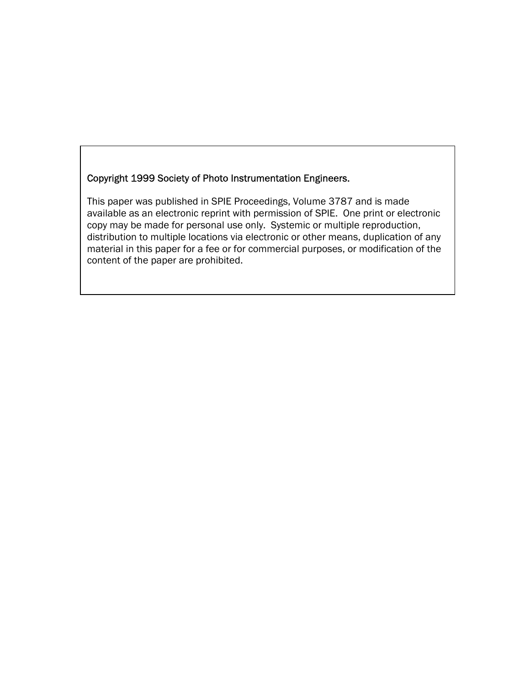# Copyright 1999 Society of Photo Instrumentation Engineers.

This paper was published in SPIE Proceedings, Volume 3787 and is made available as an electronic reprint with permission of SPIE. One print or electronic copy may be made for personal use only. Systemic or multiple reproduction, distribution to multiple locations via electronic or other means, duplication of any material in this paper for a fee or for commercial purposes, or modification of the content of the paper are prohibited.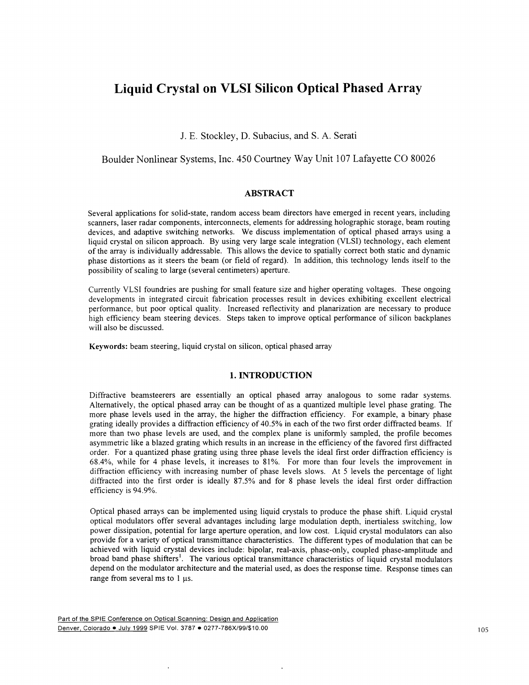# Liquid Crystal on VLSI Silicon Optical Phased Array

J. E. Stockley, I). Subacius, and S. A. Serati

# Boulder Nonlinear Systems, Inc. 450 Courtney Way Unit 1 07 Lafayette CO 80026

## ABSTRACT

Several applications for solid-state, random access beam directors have emerged in recent years, including scanners, laser radar components, interconnects, elements for addressing holographic storage, beam routing devices, and adaptive switching networks. We discuss implementation of optical phased arrays using a liquid crystal on silicon approach. By using very large scale integration (VLSI) technology, each element of the array is individually addressable. This allows the device to spatially correct both static and dynamic phase distortions as it steers the beam (or field of regard). In addition, this technology lends itself to the possibility of scaling to large (several centimeters) aperture.

Currently VLSI foundries are pushing for small feature size and higher operating voltages. These ongoing developments in integrated circuit fabrication processes result in devices exhibiting excellent electrical performance, but poor optical quality. Increased reflectivity and planarization are necessary to produce high efficiency beam steering devices. Steps taken to improve optical performance of silicon backplanes will also be discussed.

Keywords: beam steering, liquid crystal on silicon, optical phased array

#### 1. INTRODUCTION

Diffractive beamsteerers are essentially an optical phased array analogous to some radar systems. Alternatively, the optical phased array can be thought of as a quantized multiple level phase grating. The more phase levels used in the array, the higher the diffraction efficiency. For example, a binary phase grating ideally provides a diffraction efficiency of 40.5% in each of the two first order diffracted beams. If more than two phase levels are used, and the complex plane is uniformly sampled, the profile becomes asymmetric like a blazed grating which results in an increase in the efficiency of the favored first diffracted order. For a quantized phase grating using three phase levels the ideal first order diffraction efficiency is 68.4%, while for 4 phase levels, it increases to 81%. For more than four levels the improvement in diffraction efficiency with increasing number of phase levels slows. At 5 levels the percentage of light diffracted into the first order is ideally 87.5% and for 8 phase levels the ideal first order diffraction efficiency is 94.9%.

Optical phased arrays can be implemented using liquid crystals to produce the phase shift. Liquid crystal optical modulators offer several advantages including large modulation depth, inertialess switching, low power dissipation, potential for large aperture operation, and low cost. Liquid crystal modulators can also provide for a variety of optical transmittance characteristics. The different types of modulation that can be achieved with liquid crystal devices include: bipolar, real-axis, phase-only, coupled phase-amplitude and broad band phase shifters'. The various optical transmittance characteristics of liquid crystal modulators depend on the modulator architecture and the material used, as does the response time. Response times can range from several ms to 1 us.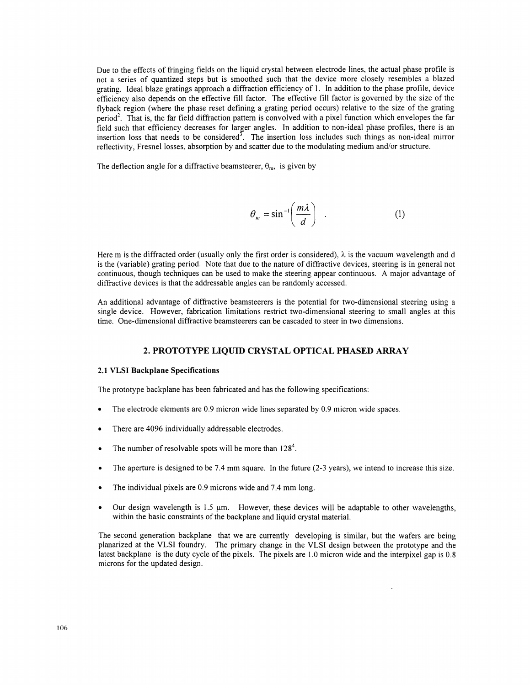Due to the effects of fringing fields on the liquid crystal between electrode lines, the actual phase profile is not a series of quantized steps but is smoothed such that the device more closely resembles a blazed grating. Ideal blaze gratings approach a diffraction efficiency of 1 . In addition to the phase profile, device efficiency also depends on the effective fill factor. The effective fill factor is governed by the size of the flyback region (where the phase reset defining a grating period occurs) relative to the size of the grating period<sup>2</sup>. That is, the far field diffraction pattern is convolved with a pixel function which envelopes the far field such that efficiency decreases for larger angles. In addition to non-ideal phase profiles, there is an insertion loss that needs to be considered<sup>3</sup>. The insertion loss includes such things as non-ideal mirror reflectivity, Fresnel losses, absorption by and scatter due to the modulating medium and/or structure.

The deflection angle for a diffractive beamsteerer,  $\theta_m$ , is given by

$$
\theta_m = \sin^{-1}\left(\frac{m\lambda}{d}\right) \quad . \tag{1}
$$

Here m is the diffracted order (usually only the first order is considered),  $\lambda$  is the vacuum wavelength and d is the (variable) grating period. Note that due to the nature of diffractive devices, steering is in general not continuous, though techniques can be used to make the steering appear continuous. A major advantage of diffractive devices is that the addressable angles can be randomly accessed.

An additional advantage of diffractive beamsteerers is the potential for two-dimensional steering using a single device. However, fabrication limitations restrict two-dimensional steering to small angles at this time. One-dimensional diffractive beamsteerers can be cascaded to steer in two dimensions.

## 2. PROTOTYPE LIQUID CRYSTAL OPTICAL PHASED ARRAY

#### 2.1 VLSI Backplane Specifications

The prototype backplane has been fabricated and has the following specifications:

- The electrode elements are 0.9 micron wide lines separated by 0.9 micron wide spaces.
- . There are 4096 individually addressable electrodes.
- The number of resolvable spots will be more than  $128<sup>4</sup>$ .
- . The aperture is designed to be 7.4 mm square. In the future (2-3 years), we intend to increase this size.
- The individual pixels are 0.9 microns wide and 7.4 mm long.
- Our design wavelength is  $1.5 \mu m$ . However, these devices will be adaptable to other wavelengths, within the basic constraints of the backplane and liquid crystal material.

The second generation backplane that we are currently developing is similar, but the wafers are being planarized at the VLSI foundry. The primary change in the VLSI design between the prototype and the latest backplane is the duty cycle of the pixels. The pixels are 1.0 micron wide and the interpixel gap is 0.8 microns for the updated design.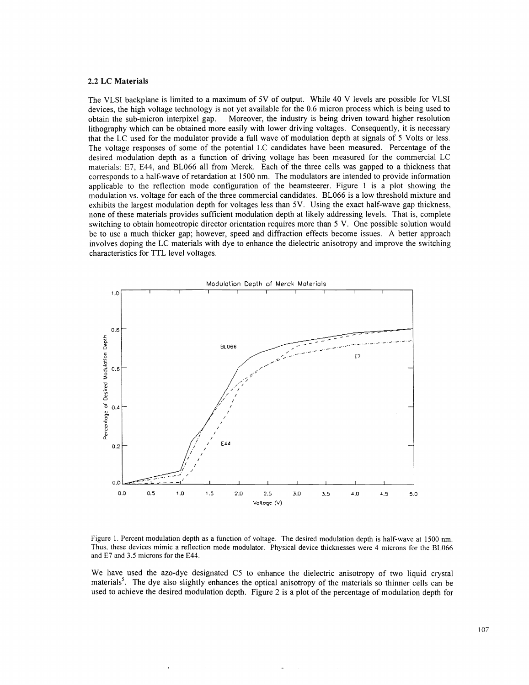#### 2.2 LC Materials

The VLSI backplane is limited to a maximum of 5V of output. While 40 V levels are possible for VLSI devices, the high voltage technology is not yet available for the 0.6 micron process which is being used to obtain the sub-micron interpixel gap. Moreover, the industry is being driven toward higher resolution lithography which can be obtained more easily with lower driving voltages. Consequently, it is necessary that the LC used for the modulator provide a full wave of modulation depth at signals of 5 Volts or less. The voltage responses of some of the potential LC candidates have been measured. Percentage of the desired modulation depth as a function of driving voltage has been measured for the commercial LC materials: E7, E44, and BL066 all from Merck. Each of the three cells was gapped to a thickness that corresponds to a half-wave of retardation at 1 500 nm. The modulators are intended to provide information applicable to the reflection mode configuration of the beamsteerer. Figure 1 is a plot showing the modulation vs. voltage for each of the three commercial candidates. BL066 is a low threshold mixture and exhibits the largest modulation depth for voltages less than 5V. Using the exact half-wave gap thickness, none of these materials provides sufficient modulation depth at likely addressing levels. That is, complete switching to obtain homeotropic director orientation requires more than 5 V. One possible solution would be to use a much thicker gap; however, speed and diffraction effects become issues. A better approach involves doping the LC materials with dye to enhance the dielectric anisotropy and improve the switching characteristics for TTL level voltages.



Figure 1. Percent modulation depth as a function of voltage. The desired modulation depth is half-wave at 1500 nm. Thus, these devices mimic a reflection mode modulator. Physical device thicknesses were 4 microns for the BL066 and E7 and 3.5 microns for the E44.

We have used the azo-dye designated C5 to enhance the dielectric anisotropy of two liquid crystal materials<sup>5</sup>. The dye also slightly enhances the optical anisotropy of the materials so thinner cells can be used to achieve the desired modulation depth. Figure 2 is a plot of the percentage of modulation depth for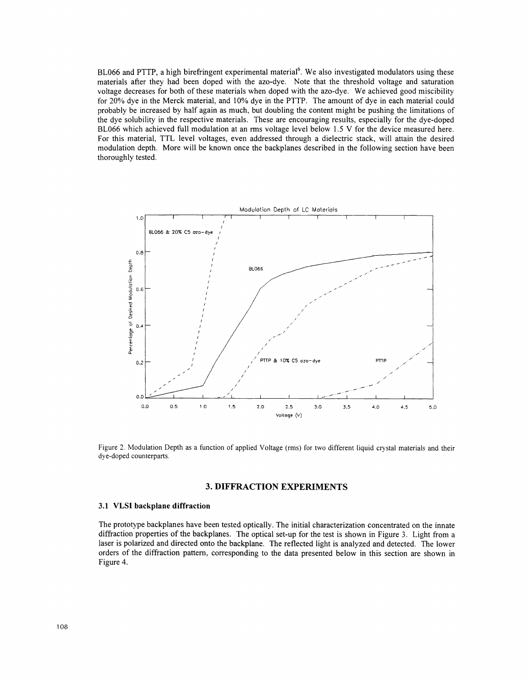BL066 and PTTP, a high birefringent experimental material<sup>6</sup>. We also investigated modulators using these materials after they had been doped with the azo-dye. Note that the threshold voltage and saturation voltage decreases for both of these materials when doped with the azo-dye. We achieved good miscibility for 20% dye in the Merck material, and 10% dye in the PTTP. The amount of dye in each material could probably be increased by half again as much, but doubling the content might be pushing the limitations of the dye solubility in the respective materials. These are encouraging results, especially for the dye-doped BL066 which achieved full modulation at an rms voltage level below 1.5 V for the device measured here. For this material, TTL level voltages, even addressed through a dielectric stack, will attain the desired modulation depth. More will be known once the backplanes described in the following section have been thoroughly tested.



Figure 2. Modulation Depth as a function of applied Voltage (rms) for two different liquid crystal materials and their dye-doped counterparts.

#### 3. DIFFRACTION EXPERIMENTS

#### 3.1 VLSI backplane diffraction

The prototype backplanes have been tested optically. The initial characterization concentrated on the innate diffraction properties of the backplanes. The optical set-up for the test is shown in Figure 3. Light from a laser is polarized and directed onto the backplane. The reflected light is analyzed and detected. The lower orders of the diffraction pattern, corresponding to the data presented below in this section are shown in Figure 4.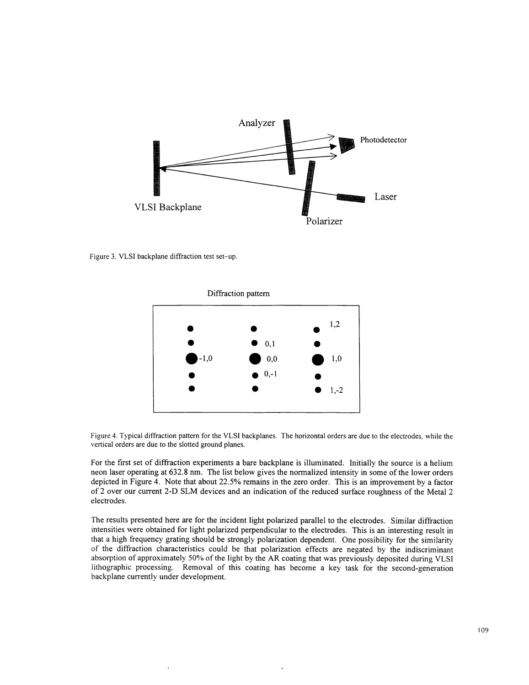

Figure 3. VLSI backplane diffraction test set—up.



Figure 4. Typical diffraction pattern for the VLSI backplanes. The horizontal orders are due to the electrodes, while the vertical orders are due to the slotted ground planes.

For the first set of diffraction experiments a bare backplane is illuminated. Initially the source is a helium neon laser operating at 632.8 nm. The list below gives the normalized intensity in some ofthe lower orders depicted in Figure 4. Note that about 22.5% remains in the zero order. This is an improvement by a factor of 2 over our current 2-D SLM devices and an indication of the reduced surface roughness of the Metal 2 electrodes.

The results presented here are for the incident light polarized parallel to the electrodes. Similar diffraction intensities were obtained for light polarized perpendicular to the electrodes, This is an interesting result in that a high frequency grating should be strongly polarization dependent. One possibility for the similarity of the diffraction characteristics could be that polarization effects are negated by the indiscriminant absorption of approximately 50% ofthe light by the AR coating that was previously deposited during VLSI lithographic processing. Removal of this coating has become a key task for the second-generation backplane currently under development.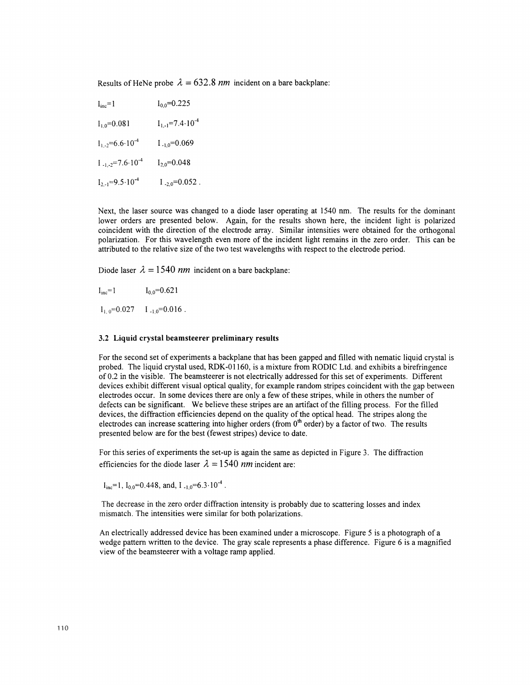Results of HeNe probe  $\lambda = 632.8$  nm incident on a bare backplane:

| $I_{inc} = 1$                   | $I_{0,0} = 0.225$              |
|---------------------------------|--------------------------------|
| $I_{1,0}$ =0.081                | $I_{1,-1} = 7.4 \cdot 10^{-4}$ |
| $I_{1,-2} = 6.6 \cdot 10^{-4}$  | $1_{-1,0} = 0.069$             |
| $I_{-1,-2} = 7.6 \cdot 10^{-4}$ | $I_{2,0} = 0.048$              |
| $I_{2,-1} = 9.5 \cdot 10^{-4}$  | $I_{-2.0} = 0.052$ .           |

Next, the laser source was changed to a diode laser operating at 1540 nm. The results for the dominant lower orders are presented below. Again, for the results shown here, the incident light is polarized coincident with the direction of the electrode array. Similar intensities were obtained for the orthogonal polarization. For this wavelength even more of the incident light remains in the zero order. This can be attributed to the relative size of the two test wavelengths with respect to the electrode period.

Diode laser  $\lambda = 1540$  nm incident on a bare backplane:

 $I_{\text{inc}} = 1$   $I_{0.0} = 0.621$ 

 $l_{1.0} = 0.027$   $l_{-1.0} = 0.016$ .

#### 3.2 Liquid crystal beamsteerer preliminary results

For the second set of experiments a backplane that has been gapped and filled with nematic liquid crystal is probed. The liquid crystal used, RDK-Ol 160, is a mixture from RODIC Ltd. and exhibits a birefringence of 0.2 in the visible. The beamsteerer is not electrically addressed for this set of experiments. Different devices exhibit different visual optical quality, for example random stripes coincident with the gap between electrodes occur. In some devices there are only a few of these stripes, while in others the number of defects can be significant. We believe these stripes are an artifact of the filling process. For the filled devices, the diffraction efficiencies depend on the quality of the optical head. The stripes along the electrodes can increase scattering into higher orders (from 0<sup>th</sup> order) by a factor of two. The results presented below are for the best (fewest stripes) device to date.

For this series of experiments the set-up is again the same as depicted in Figure 3. The diffraction efficiencies for the diode laser  $\lambda = 1540$  nm incident are:

 $I_{inc}$ =1,  $I_{0.0}$ =0.448, and,  $I_{-1.0}$ =6.3 $\cdot 10^{-4}$ .

The decrease in the zero order diffraction intensity is probably due to scattering losses and index mismatch. The intensities were similar for both polarizations.

An electrically addressed device has been examined under a microscope. Figure 5 is a photograph of a wedge pattern written to the device. The gray scale represents a phase difference. Figure 6 is a magnified view of the beamsteerer with a voltage ramp applied.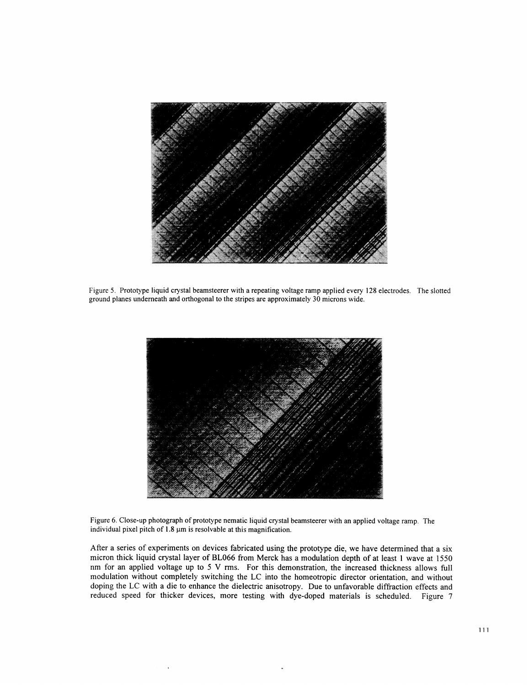

Figure 5. Prototype liquid crystal beamsteerer with a repeating voltage ramp applied every 128 electrodes. The slotted ground planes underneath and orthogonal to the stripes are approximately 30 microns wide.



Figure 6. Close-up photograph of prototype nematic liquid crystal beamsteerer with an applied voltage ramp. The individual pixel pitch of  $1.8 \mu m$  is resolvable at this magnification.

After a series of experiments on devices fabricated using the prototype die, we have determined that a six micron thick liquid crystal layer of BL066 from Merck has a modulation depth of at least 1 wave at 1550 nm for an applied voltage up to 5 V rms. For this demonstration, the increased thickness allows full modulation without completely switching the LC into the homeotropic director orientation, and without doping the LC with a die to enhance the dielectric anisotropy. Due to unfavorable diffraction effects and reduced speed for thicker devices, more testing with dye-doped materials is scheduled. Figure 7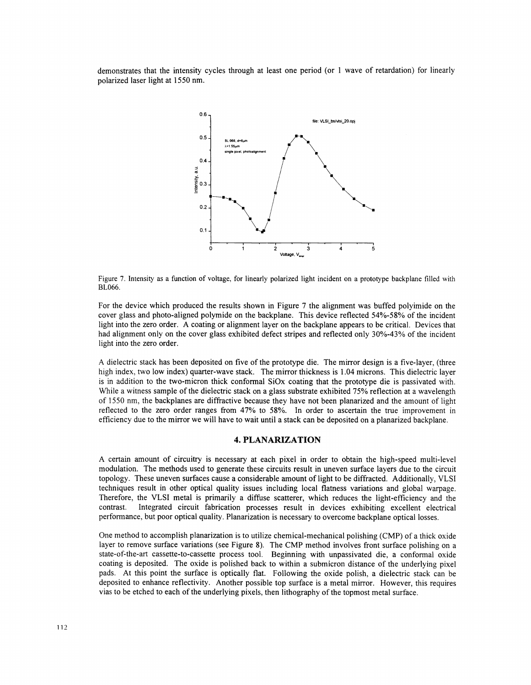demonstrates that the intensity cycles through at least one period (or 1 wave of retardation) for linearly polarized laser light at 1550 nm.



Figure 7. Intensity as a function of voltage, for linearly polarized light incident on a prototype backplane filled with BL066.

For the device which produced the results shown in Figure 7 the alignment was buffed polyimide on the cover glass and photo-aligned polymide on the backplane. This device reflected 54%-58%ofthe incident light into the zero order. A coating or alignment layer on the backplane appears to be critical. Devices that had alignment only on the cover glass exhibited defect stripes and reflected only 30%-43% of the incident light into the zero order.

A dielectric stack has been deposited on five of the prototype die. The mirror design is a five-layer, (three high index, two low index) quarter-wave stack. The mirror thickness is 1.04 microns. This dielectric layer is in addition to the two-micron thick conformal SiOx coating that the prototype die is passivated with. While a witness sample of the dielectric stack on a glass substrate exhibited 75% reflection at a wavelength of 1 550 nm, the backplanes are diffractive because they have not been planarized and the amount of light reflected to the zero order ranges from 47% to 58%. In order to ascertain the true improvement in efficiency due to the mirror we will have to wait until a stack can be deposited on a planarized backplane.

#### 4. PLANARIZATION

A certain amount of circuitry is necessary at each pixel in order to obtain the high-speed multi-level modulation. The methods used to generate these circuits result in uneven surface layers due to the circuit topology. These uneven surfaces cause a considerable amount of light to be diffracted. Additionally, VLSI techniques result in other optical quality issues including local flatness variations and global warpage. Therefore, the VLSI metal is primarily a diffuse scatterer, which reduces the light-efficiency and the contrast. Integrated circuit fabrication processes result in devices exhibiting excellent electrical performance, but poor optical quality. Planarization is necessary to overcome backplane optical losses.

One method to accomplish planarization is to utilize chemical-mechanical polishing (CMP) of a thick oxide layer to remove surface variations (see Figure 8). The CMP method involves front surface polishing on a state-of-the-art cassette-to-cassette process tool. Beginning with unpassivated die, a conformal oxide coating is deposited. The oxide is polished back to within a submicron distance of the underlying pixel pads. At this point the surface is optically flat. Following the oxide polish, a dielectric stack can be deposited to enhance reflectivity. Another possible top surface is a metal mirror. However, this requires vias to be etched to each of the underlying pixels, then lithography of the topmost metal surface.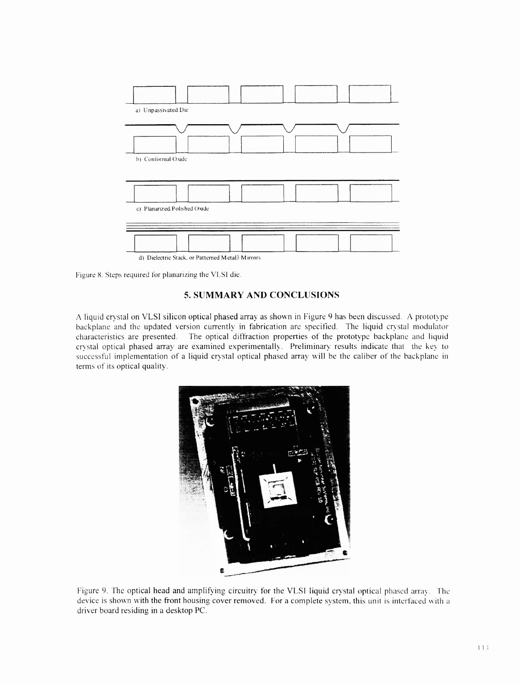

Figure 8. Steps required for planarizing the VLSI die.

# 5. SUMMARY AND CONCLUSIONS

A liquid crystal on VLSI silicon optical phased array as shown in Figure 9 has been discussed. A prototype backplane and the updated version currently in fabrication are specified. The liquid crystal modulator characteristics are presented. The optical diffraction properties of the prototype backplane and liquid crystal optical phased array are examined experimentally. Preliminary results indicate that the key to successful implementation of a liquid crystal optical phased array will be the caliber of the backplane in terms of its optical quality.



Figure 9. The optical head and amplifying circuitry for the VLSI liquid crystal optical phased array. The device is shown with the front housing cover removed. For a complete system, this unit is interfaced with a driver board residing in a desktop PC.